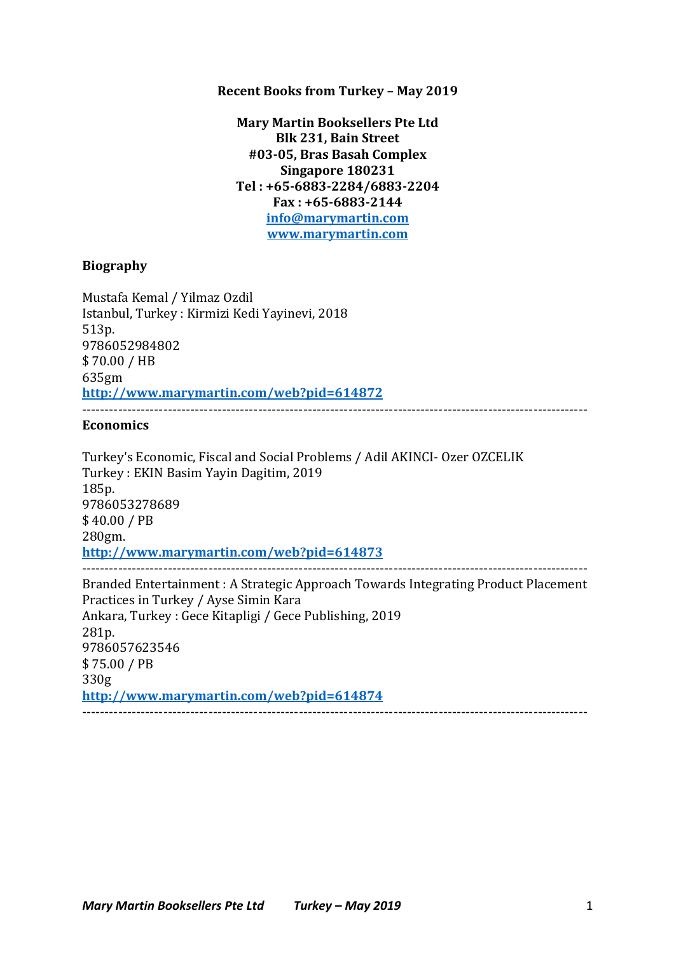### **Recent Books from Turkey - May 2019**

**Mary Martin Booksellers Pte Ltd Blk 231, Bain Street #03-05, Bras Basah Complex Singapore 180231 Tel : +65-6883-2284/6883-2204 Fax : +65-6883-2144 info@marymartin.com www.marymartin.com**

#### **Biography**

Mustafa Kemal / Yilmaz Ozdil Istanbul, Turkey : Kirmizi Kedi Yayinevi, 2018 513p. 9786052984802 \$ 70.00 / HB 635gm **http://www.marymartin.com/web?pid=614872**

#### **Economics**

Turkey's Economic, Fiscal and Social Problems / Adil AKINCI- Ozer OZCELIK Turkey : EKIN Basim Yayin Dagitim, 2019 185p. 9786053278689 \$ 40.00 / PB 280gm. **http://www.marymartin.com/web?pid=614873** ---------------------------------------------------------------------------------------------------------------- Branded Entertainment : A Strategic Approach Towards Integrating Product Placement

Practices in Turkey / Ayse Simin Kara Ankara, Turkey : Gece Kitapligi / Gece Publishing, 2019 281p. 9786057623546 \$ 75.00 / PB 330g **http://www.marymartin.com/web?pid=614874** ----------------------------------------------------------------------------------------------------------------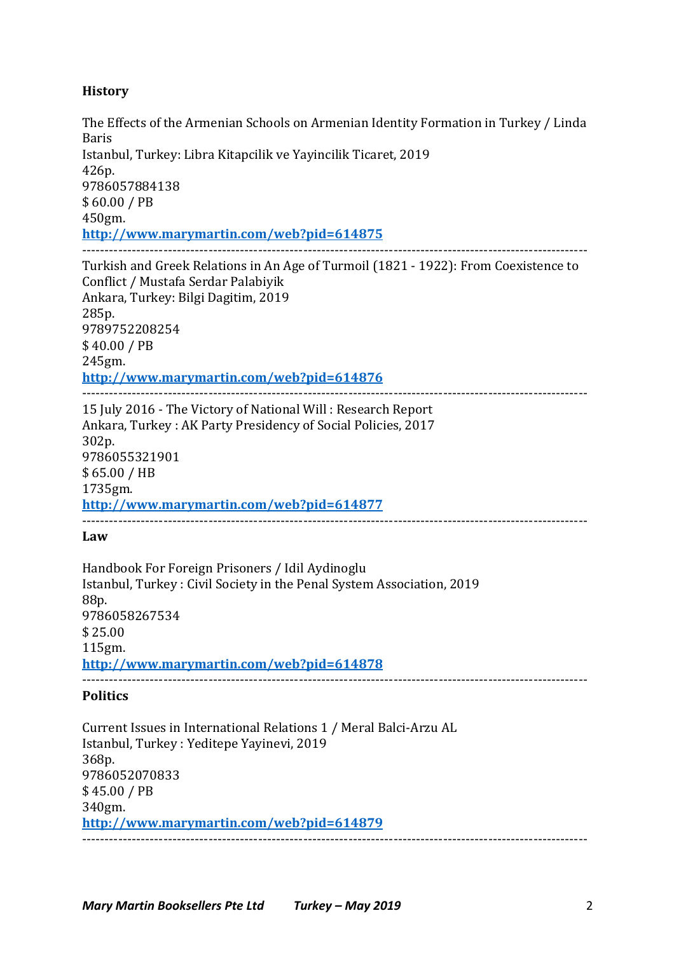# **History**

The Effects of the Armenian Schools on Armenian Identity Formation in Turkey / Linda Baris Istanbul, Turkey: Libra Kitapcilik ve Yayincilik Ticaret, 2019 426p. 9786057884138 \$ 60.00 / PB 450gm. **http://www.marymartin.com/web?pid=614875** ---------------------------------------------------------------------------------------------------------------- Turkish and Greek Relations in An Age of Turmoil (1821 - 1922): From Coexistence to Conflict / Mustafa Serdar Palabiyik Ankara, Turkey: Bilgi Dagitim, 2019 285p. 9789752208254 \$ 40.00 / PB 245gm.

### **http://www.marymartin.com/web?pid=614876**

---------------------------------------------------------------------------------------------------------------- 15 July 2016 - The Victory of National Will: Research Report Ankara, Turkey : AK Party Presidency of Social Policies, 2017 302p. 9786055321901 \$ 65.00 / HB 1735gm. **http://www.marymartin.com/web?pid=614877** ----------------------------------------------------------------------------------------------------------------

### **Law**

Handbook For Foreign Prisoners / Idil Aydinoglu Istanbul, Turkey: Civil Society in the Penal System Association, 2019 88p. 9786058267534 \$ 25.00 115gm. **http://www.marymartin.com/web?pid=614878** ----------------------------------------------------------------------------------------------------------------

## **Politics**

Current Issues in International Relations 1 / Meral Balci-Arzu AL Istanbul, Turkey : Yeditepe Yayinevi, 2019 368p. 9786052070833 \$ 45.00 / PB 340gm. **http://www.marymartin.com/web?pid=614879** ----------------------------------------------------------------------------------------------------------------